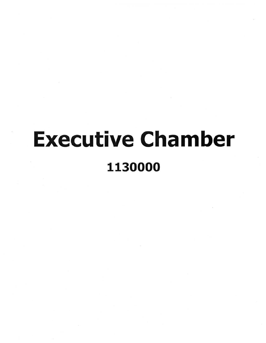## Executive Chamber 1130000